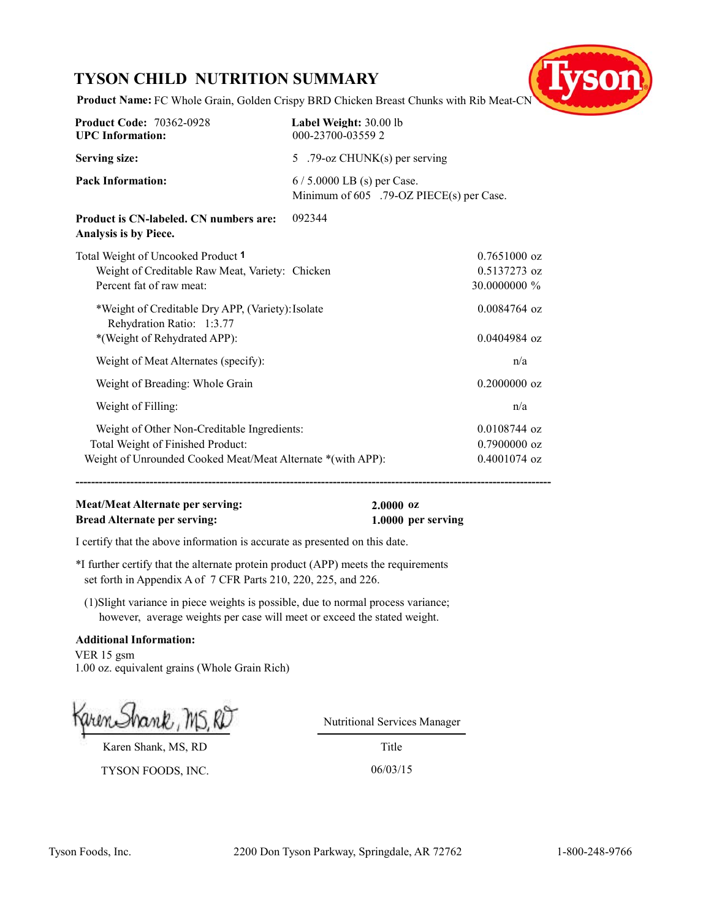## **TYSON CHILD NUTRITION SUMMARY**



**Product Name:** FC Whole Grain, Golden Crispy BRD Chicken Breast Chunks with Rib Meat-CN

| <b>Product Code: 70362-0928</b><br><b>UPC</b> Information:                                                                                      | Label Weight: 30.00 lb<br>000-23700-035592                              |  |
|-------------------------------------------------------------------------------------------------------------------------------------------------|-------------------------------------------------------------------------|--|
| <b>Serving size:</b>                                                                                                                            | 5 .79-oz CHUNK(s) per serving                                           |  |
| <b>Pack Information:</b>                                                                                                                        | $6/5.0000$ LB (s) per Case.<br>Minimum of 605 .79-OZ PIECE(s) per Case. |  |
| <b>Product is CN-labeled. CN numbers are:</b><br>Analysis is by Piece.                                                                          | 092344                                                                  |  |
| Total Weight of Uncooked Product 1<br>Weight of Creditable Raw Meat, Variety: Chicken<br>Percent fat of raw meat:                               | $0.7651000$ oz<br>0.5137273 oz<br>30.0000000 %                          |  |
| *Weight of Creditable Dry APP, (Variety): Isolate<br>Rehydration Ratio: 1:3.77<br>*(Weight of Rehydrated APP):                                  | $0.0084764$ oz<br>0.0404984 oz                                          |  |
| Weight of Meat Alternates (specify):                                                                                                            | n/a                                                                     |  |
| Weight of Breading: Whole Grain                                                                                                                 | 0.2000000 oz                                                            |  |
| Weight of Filling:                                                                                                                              | n/a                                                                     |  |
| Weight of Other Non-Creditable Ingredients:<br>Total Weight of Finished Product:<br>Weight of Unrounded Cooked Meat/Meat Alternate *(with APP): | $0.0108744$ oz<br>$0.7900000$ oz<br>0.4001074 oz                        |  |

**--------------------------------------------------------------------------------------------------------------------------**

## **Meat/Meat Alternate per serving: 2.0000 oz Bread Alternate per serving: 1.0000 per serving**

I certify that the above information is accurate as presented on this date.

\*I further certify that the alternate protein product (APP) meets the requirements set forth in Appendix A of 7 CFR Parts 210, 220, 225, and 226.

(1)Slight variance in piece weights is possible, due to normal process variance; however, average weights per case will meet or exceed the stated weight.

#### **Additional Information:**

VER 15 gsm 1.00 oz. equivalent grains (Whole Grain Rich)

Karen Shank, MS, RD

TYSON FOODS, INC. 06/03/15

Nutritional Services Manager

Title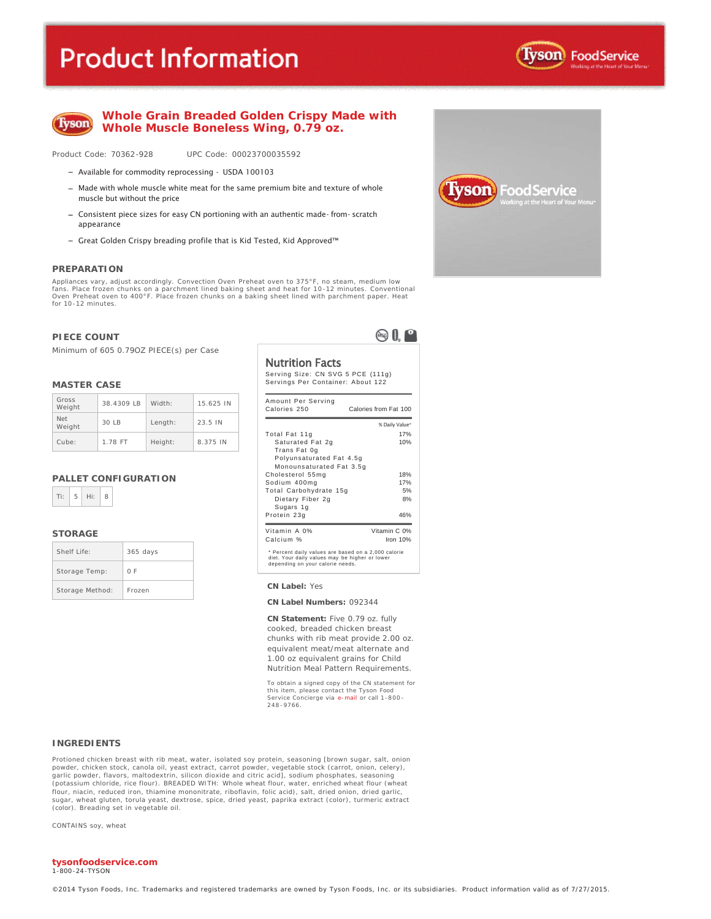## **Product Information**





#### **Whole Grain Breaded Golden Crispy Made with Whole Muscle Boneless Wing, 0.79 oz.**

Product Code: 70362-928 UPC Code: 00023700035592

- Available for commodity reprocessing USDA 100103
- $-$  Made with whole muscle white meat for the same premium bite and texture of whole muscle but without the price
- Consistent piece sizes for easy CN portioning with an authentic made- from- scratch appearance
- Great Golden Crispy breading profile that is Kid Tested, Kid Approved™

#### **PREPARATION**

Appliances vary, adjust accordingly. Convection Oven Preheat oven to 375°F, no steam, medium low fans. Place frozen chunks on a parchment lined baking sheet and heat for 10 -12 minutes. Conventional Oven Preheat oven to 400°F. Place frozen chunks on a baking sheet lined with parchment paper. Heat for 10-12 minutes.

#### **PIECE COUNT**

Minimum of 605 0.79OZ PIECE(s) per Case

#### **MASTER CASE**

| Gross<br>Weight      | 38.4309 LB | Width:  | 15.625 IN |
|----------------------|------------|---------|-----------|
| <b>Net</b><br>Weight | 30IB       | Length: | 23.5 IN   |
| Cube:                | 1.78 FT    | Height: | 8.375 IN  |

#### **PALLET CONFIGURATION**



#### **STORAGE**

| Shelf Life:     | $365$ days |
|-----------------|------------|
| Storage Temp:   | 0 F        |
| Storage Method: | Frozen     |

Nutrition Facts Serving Size: CN SVG 5 PCE (111g)

 $\otimes 0^\circ$ 

| Amount Per Serving                                                                                                                        |                       |
|-------------------------------------------------------------------------------------------------------------------------------------------|-----------------------|
| Calories 250                                                                                                                              | Calories from Fat 100 |
|                                                                                                                                           | % Daily Value*        |
| Total Fat 11g                                                                                                                             | 17%                   |
| Saturated Fat 2g                                                                                                                          | 10%                   |
| Trans Fat 0g                                                                                                                              |                       |
| Polyunsaturated Fat 4.5q                                                                                                                  |                       |
| Monounsaturated Fat 3.5q                                                                                                                  |                       |
| Cholesterol 55mg                                                                                                                          | 18%                   |
| Sodium 400mg                                                                                                                              | 17%                   |
| Total Carbohydrate 15g                                                                                                                    | 5%                    |
| Dietary Fiber 2g                                                                                                                          | 8%                    |
| Sugars 1g                                                                                                                                 |                       |
| Protein 23g                                                                                                                               | 46%                   |
| Vitamin A 0%                                                                                                                              | Vitamin C 0%          |
| Calcium %                                                                                                                                 | Iron 10%              |
| * Percent daily values are based on a 2,000 calorie<br>diet. Your daily values may be higher or lower<br>daasadka wa cacca aalada waxda d |                       |

#### Storage Method: Frozen **CN Label:** Yes

**CN Label Numbers:** 092344

**CN Statement:** Five 0.79 oz. fully cooked, breaded chicken breast chunks with rib meat provide 2.00 oz. equivalent meat/meat alternate and 1.00 oz equivalent grains for Child Nutrition Meal Pattern Requirements.

To obtain a signed copy of the CN statement for this item, please contact the Tyson Food<br>Service Concierge via e-<mark>mail</mark> or call 1-800-248 -9766.

#### **INGREDIENTS**

Protioned chicken breast with rib meat, water, isolated soy protein, seasoning [brown sugar, salt, onion powder, chicken stock, canola oil, yeast extract, carrot powder, vegetable stock (carrot, onion, celery),<br>garlic powder, flavors, maltodextrin, silicon dioxide and citric acid], sodium phosphates, seasoning<br>(potassium chlo flour, niacin, reduced iron, thiamine mononitrate, riboflavin, folic acid), salt, dried onion, dried garlic, sugar, wheat gluten, torula yeast, dextrose, spice, dried yeast, paprika extract (color), turmeric extract (color). Breading set in vegetable oil.

CONTAINS soy, wheat

#### **tysonfoodservice.com**

1-800 -24-TYSON



Servings Per Container: About 122

depending on your calorie needs.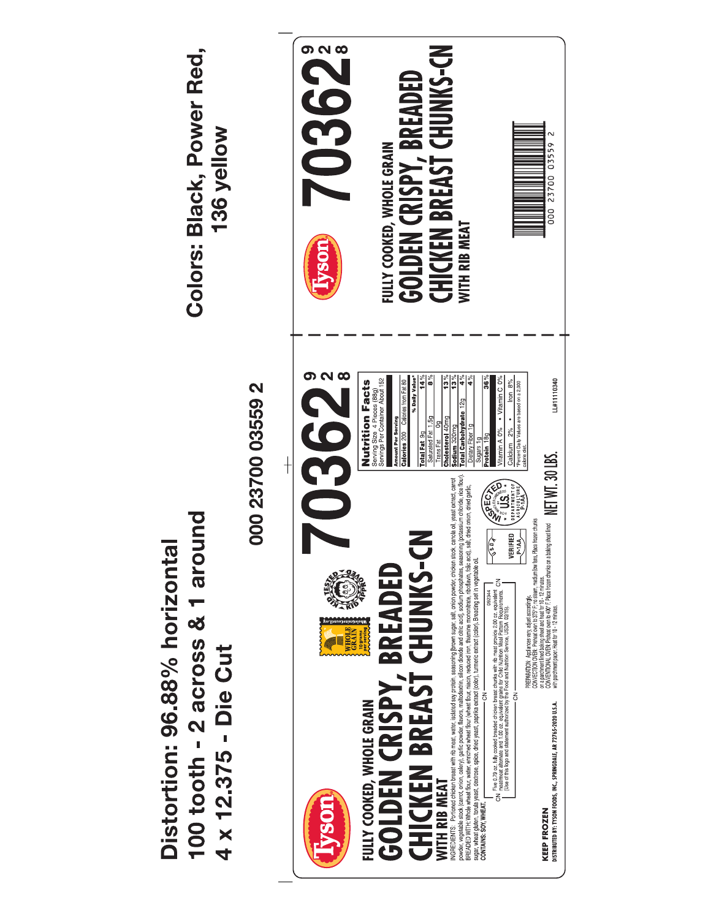**703622 GOLDEN CRISPY, BREADED<br>CHICKEN BREAST CHUNKS-CN** Colors: Black, Power Red, 136 yellow  $\sim$ FULLY COOKED, WHOLE GRAIN 000 23700 03559 **NITH RIB MEAT** vson 0362  $\frac{5}{2}$  $\frac{5}{2}$ **Nutrition Facts** Serving Size 4 Pieces (88g)<br>Servings Per Container About 152 Vitamin A 0% • Vitamin C 0% LL#1110340 000 23700 03559 2 Iron 8% % Daily Valu t Daily Values are based on a 2,000 Total Carbohydrate 12g  $\ddot{\phantom{0}}$ Total Fat 9g Amount Per Serving<br>Calories 200 Calor Cholesterol 40mg Calcium 2% PREPARTION: Applierate en adust according).<br>2003 : Constantinoparties de la constantinoparties de la constantinoparties de la constantinopartie de la cons<br>2018 : Constantinoparties de la constantinopartie de la constantino NGREDIENTS: Portioned chicken beast with rib meat, water, isolated soy protein, seasoning thown sugar, salt, onion powder, chicken stock, canola oil, yeast extract, carrot powers, experiency considerably search with the me **ARECAN SEA** 100 tooth - 2 across & 1 around  $\sqrt{\frac{s_0}{s_1}}$ VERIFIED **GOLDEN CRISPY, BREADED<br>CHICKEN BREAST CHUNKS-CN**  $P = 1A$ Distortion: 96.88% horizontal ch Five 0.79 oz. fully cooked breaded chicken breast churks with rib meat provide 2.00 oz. equivalent charged c<br>The company of the company of the company of the company of the company of the company of the company of the c WHOLE<br>GRAIN<br>10 grams<br>per serving 4 x 12.375 - Die Cut FULLY COOKED, WHOLE GRAIN KEEP FROZEN<br>distributed by: tyson foods, inc., springdale, ar 72765-2020 u.s.a. **WITH RIB MEAT**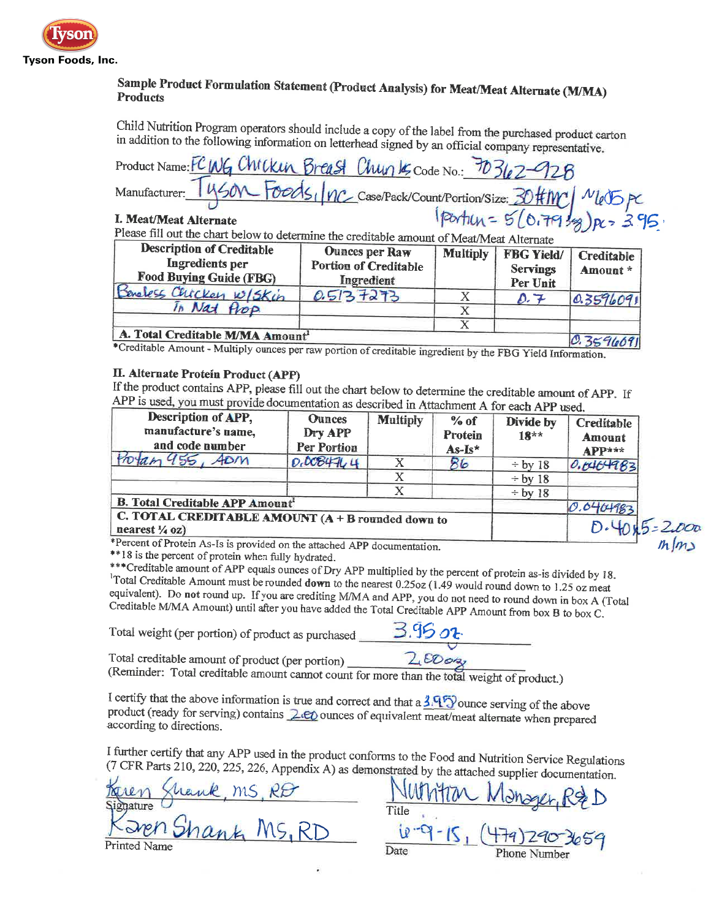

## Sample Product Formulation Statement (Product Analysis) for Meat/Meat Alternate (M/MA) **Products**

Child Nutrition Program operators should include a copy of the label from the purchased product carton in addition to the following information on letterhead signed by an official company representative.

| Product Name: FC WG Chickin Breast Chunk Code No.: 70362-928 |                                                                         |
|--------------------------------------------------------------|-------------------------------------------------------------------------|
|                                                              | Manufacturer: 1450 Foods, nc Case/Pack/Count/Portion/Size: 30#MC N65 PC |
| I. Meat/Meat Alternate                                       | Ipartich = 5 (0.7939) pc = 395                                          |

Please fill out the chart below to determine the creditable amount of Meat/Meat Alternate

| <b>Description of Creditable</b><br>Ingredients per<br><b>Food Buying Guide (FBG)</b>     | <b>Ounces per Raw</b><br><b>Portion of Creditable</b><br>Ingredient | <b>Multiply</b> | <b>FBG Yield/</b><br><b>Servings</b><br>Per Unit | Creditable<br>Amount* |
|-------------------------------------------------------------------------------------------|---------------------------------------------------------------------|-----------------|--------------------------------------------------|-----------------------|
| Beneless Chicken W/Skin                                                                   | 0.5137273                                                           |                 | $\mathcal{D}$ . 7                                | 0.3596091             |
| In Nat Prop.                                                                              |                                                                     |                 |                                                  |                       |
|                                                                                           |                                                                     |                 |                                                  |                       |
| A. Total Creditable M/MA Amount <sup>1</sup><br>$*rad$ $*1$ $*1$ $*1$ $*1$ $*1$ $*1$ $*1$ |                                                                     |                 |                                                  | 0.359609              |

\*Creditable Amount - Multiply ounces per raw portion of creditable ingredient by the FBG Yield Information.

## **II. Alternate Protein Product (APP)**

If the product contains APP, please fill out the chart below to determine the creditable amount of APP. If APP is used, you must provide documentation as described in Attachment A for each APP used.

| Description of APP,<br>manufacture's name,<br>and code number                    | <b>Ounces</b><br>Dry APP<br>Per Portion | <b>Multiply</b> | % of<br><b>Protein</b><br>$As-Is*$ | $\sim$ in Terror into it for each TIT as eq.<br>Divide by<br>$18**$ | Creditable<br>Amount<br>APP*** |
|----------------------------------------------------------------------------------|-----------------------------------------|-----------------|------------------------------------|---------------------------------------------------------------------|--------------------------------|
| 955,<br>$A$ <sub>D</sub> $m$                                                     | 0.0084704                               | X               | 86                                 | $\div$ by 18                                                        | 0.0404983                      |
|                                                                                  |                                         |                 |                                    | $\div$ by 18                                                        |                                |
|                                                                                  |                                         |                 |                                    | $\div$ by 18                                                        |                                |
| <b>B. Total Creditable APP Amount'</b>                                           |                                         |                 |                                    |                                                                     |                                |
| C. TOTAL CREDITABLE AMOUNT $(A + B$ rounded down to<br>nearest $\frac{1}{4}$ oz) |                                         |                 |                                    |                                                                     |                                |

\*Percent of Protein As-Is is provided on the attached APP documentation.

\*\*18 is the percent of protein when fully hydrated.

\*\*\* Creditable amount of APP equals ounces of Dry APP multiplied by the percent of protein as-is divided by 18. <sup>1</sup>Total Creditable Amount must be rounded down to the nearest 0.25oz (1.49 would round down to 1.25 oz meat equivalent). Do not round up. If you are crediting M/MA and APP, you do not need to round down in box A (Total Creditable M/MA Amount) until after you have added the Total Creditable APP Amount from box B to box C.

Total weight (per portion) of product as purchased

Total creditable amount of product (per portion)

(Reminder: Total creditable amount cannot count for more than the total weight of product.)

I certify that the above information is true and correct and that a  $3.95$  ounce serving of the above product (ready for serving) contains 2.00 ounces of equivalent meat/meat alternate when prepared according to directions.

I further certify that any APP used in the product conforms to the Food and Nutrition Service Regulations (7 CFR Parts 210, 220, 225, 226, Appendix A) as demonstrated by the attached supplier documentation.

ms, Rt<br>uk MS, RD euthe

Title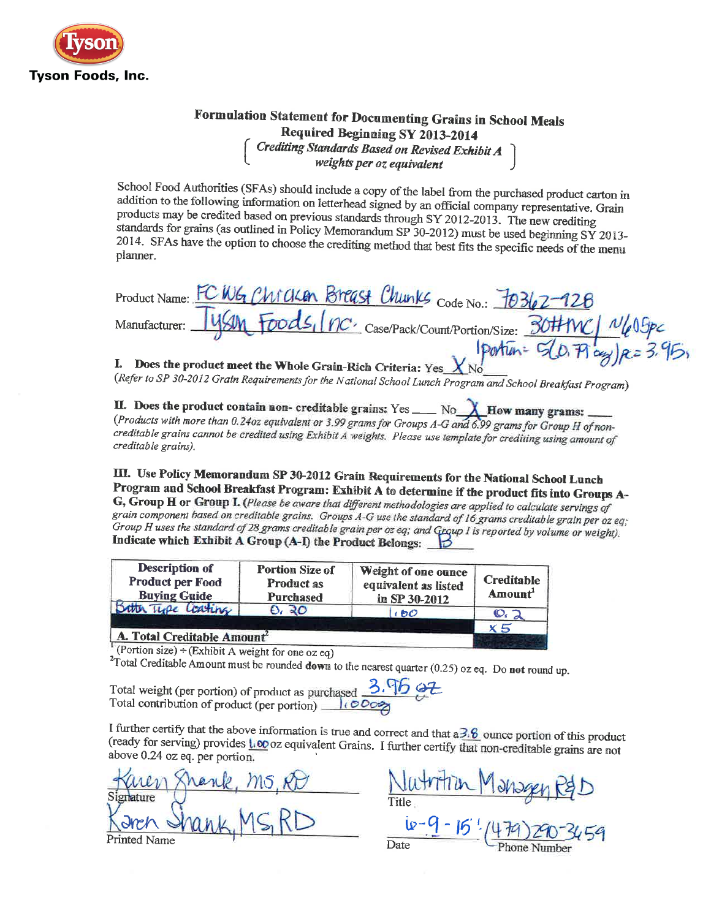

## Formulation Statement for Documenting Grains in School Meals Required Beginning SY 2013-2014 Crediting Standards Based on Revised Exhibit A<br>weights per oz equivalent

School Food Authorities (SFAs) should include a copy of the label from the purchased product carton in addition to the following information on letterhead signed by an official company representative. Grain products may be credited based on previous standards through SY 2012-2013. The new crediting standards for grains (as outlined in Policy Memorandum SP 30-2012) must be used beginning SY 2013-2014. SFAs have the option to choose the crediting method that best fits the specific needs of the menu planner.

| Product Name: FC WG Chicken Breast Chunks Code No.: 70362-128             |
|---------------------------------------------------------------------------|
| Manufacturer: 45M Foods, (nc. case/Pack/Count/Portion/Size: 30#MC) N605pc |
| portun= $5(0.79 \text{ kg})$ R= 3.95;                                     |

I. Does the product meet the Whole Grain-Rich Criteria: Yes  $X_{N0}$ (Refer to SP 30-2012 Grain Requirements for the National School Lunch Program and School Breakfast Program)

II. Does the product contain non-creditable grains: Yes \_\_\_\_ No  $X$  How many grams: (Products with more than 0.24oz equivalent or 3.99 grams for Groups A-G and 6.99 grams for Group H of noncreditable grains cannot be credited using Exhibit A weights. Please use template for crediting using amount of creditable grains).

III. Use Policy Memorandum SP 30-2012 Grain Requirements for the National School Lunch Program and School Breakfast Program: Exhibit A to determine if the product fits into Groups A-G, Group H or Group I. (Please be aware that different methodologies are applied to calculate servings of grain component based on creditable grains. Groups A-G use the standard of 16 grams creditable grain per oz eq; Group H uses the standard of 28 grams creditable grain per oz eq; and Group I is reported by volume or weight). Indicate which Exhibit A Group (A-I) the Product Belongs:

| <b>Description of</b><br><b>Product per Food</b><br><b>Buying Guide</b> | <b>Portion Size of</b><br><b>Product as</b><br>Purchased | Weight of one ounce<br>equivalent as listed<br>in SP 30-2012 | Creditable<br>Amount <sup>1</sup> |  |
|-------------------------------------------------------------------------|----------------------------------------------------------|--------------------------------------------------------------|-----------------------------------|--|
| Botter Type Coating                                                     | 0.20                                                     | 100                                                          | $\mathcal{O}_i$                   |  |
| A. Total Creditable Amount <sup>2</sup>                                 |                                                          |                                                              | x 5                               |  |

(Portion size) ÷ (Exhibit A weight for one oz eq)

<sup>2</sup>Total Creditable Amount must be rounded down to the nearest quarter (0.25) oz eq. Do not round up.

Total weight (per portion) of product as purchased 3.96 02 Total contribution of product (per portion) \_ 100000

I further certify that the above information is true and correct and that  $a\overline{3.6}$  ounce portion of this product (ready for serving) provides  $\frac{1}{100}$  oz equivalent Grains. I further certify that non-creditable grains are not above 0.24 oz eq. per portion.